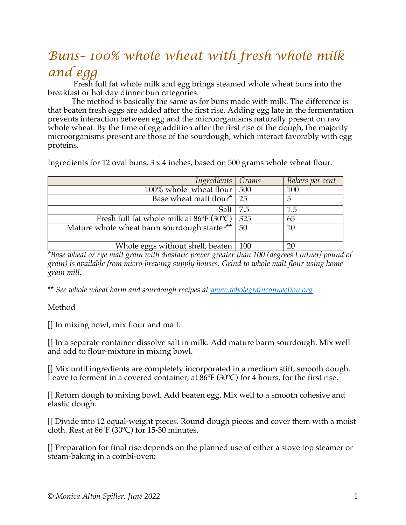## *Buns– 100% whole wheat with fresh whole milk and egg*

Fresh full fat whole milk and egg brings steamed whole wheat buns into the breakfast or holiday dinner bun categories.

The method is basically the same as for buns made with milk. The difference is that beaten fresh eggs are added after the first rise. Adding egg late in the fermentation prevents interaction between egg and the microorganisms naturally present on raw whole wheat. By the time of egg addition after the first rise of the dough, the majority microorganisms present are those of the sourdough, which interact favorably with egg proteins.

Ingredients for 12 oval buns, 3 x 4 inches, based on 500 grams whole wheat flour.

| Ingredients Grams                                       |     | Bakers per cent |
|---------------------------------------------------------|-----|-----------------|
| $100\%$ whole wheat flour   500                         |     | 100             |
| Base wheat malt flour*   25                             |     | 5               |
| Salt $ 7.5 $                                            |     | 1.5             |
| Fresh full fat whole milk at $86^{\circ}F(30^{\circ}C)$ | 325 | 65              |
| Mature whole wheat barm sourdough starter**             | 50  | 10              |
|                                                         |     |                 |
| Whole eggs without shell, beaten $\sqrt{100}$           |     |                 |

*\*Base wheat or rye malt grain with diastatic power greater than 100 (degrees Lintner/ pound of grain) is available from micro-brewing supply houses. Grind to whole malt flour using home grain mill.*

\*\* *See whole wheat barm and sourdough recipes at www.wholegrainconnection.org*

## Method

[] In mixing bowl, mix flour and malt.

[] In a separate container dissolve salt in milk. Add mature barm sourdough. Mix well and add to flour-mixture in mixing bowl.

[] Mix until ingredients are completely incorporated in a medium stiff, smooth dough. Leave to ferment in a covered container, at  $86^{\circ}F(30^{\circ}C)$  for 4 hours, for the first rise.

[] Return dough to mixing bowl. Add beaten egg. Mix well to a smooth cohesive and elastic dough.

[] Divide into 12 equal-weight pieces. Round dough pieces and cover them with a moist cloth. Rest at 86ºF (30ºC) for 15-30 minutes.

[] Preparation for final rise depends on the planned use of either a stove top steamer or steam-baking in a combi-oven: